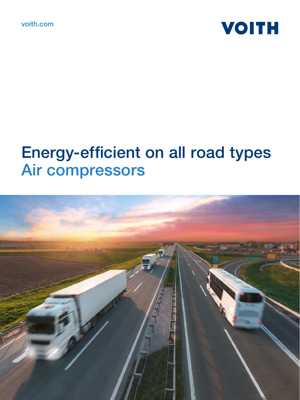



# Energy-efficient on all road types Air compressors

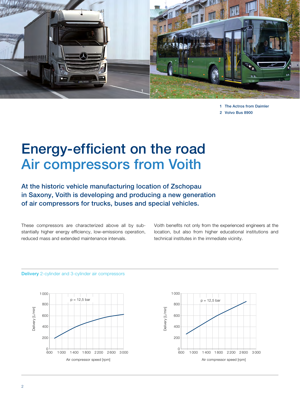

1 The Actros from Daimler 2 Volvo Bus 8900

### Energy-efficient on the road Air compressors from Voith

At the historic vehicle manufacturing location of Zschopau in Saxony, Voith is developing and producing a new generation of air compressors for trucks, buses and special vehicles.

These compressors are characterized above all by substantially higher energy efficiency, low-emissions operation, reduced mass and extended maintenance intervals.

Voith benefits not only from the experienced engineers at the location, but also from higher educational institutions and technical institutes in the immediate vicinity.





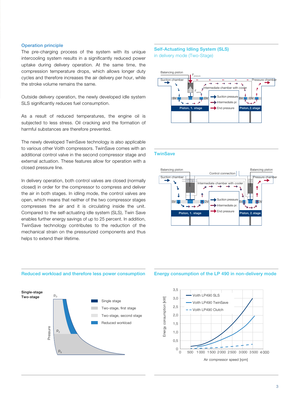### Operation principle

The pre-charging process of the system with its unique intercooling system results in a significantly reduced power uptake during delivery operation. At the same time, the compression temperature drops, which allows longer duty cycles and therefore increases the air delivery per hour, while the stroke volume remains the same.

Outside delivery operation, the newly developed idle system SLS significantly reduces fuel consumption.

As a result of reduced temperatures, the engine oil is subjected to less stress. Oil cracking and the formation of harmful substances are therefore prevented.

The newly developed TwinSave technology is also applicable to various other Voith compressors. TwinSave comes with an additional control valve in the second compressor stage and external actuation. These features allow for operation with a closed pressure line.

In delivery operation, both control valves are closed (normally closed) in order for the compressor to compress and deliver the air in both stages. In idling mode, the control valves are open, which means that neither of the two compressor stages compresses the air and it is circulating inside the unit. Compared to the self-actuating idle system (SLS), Twin Save enables further energy savings of up to 25 percent. In addition, TwinSave technology contributes to the reduction of the mechanical strain on the pressurized components and thus helps to extend their lifetime.

#### Reduced workload and therefore less power consumption Energy consumption of the LP 490 in non-delivery mode



#### Self-Actuating Idling System (SLS) in delivery mode (Two-Stage)



### **TwinSave**



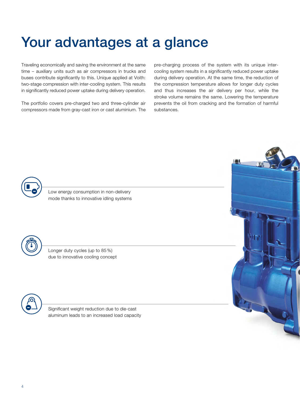### Your advantages at a glance

Traveling economically and saving the environment at the same time – auxiliary units such as air compressors in trucks and buses contribute significantly to this. Unique applied at Voith: two-stage compression with inter-cooling system. This results in significantly reduced power uptake during delivery operation.

The portfolio covers pre-charged two and three-cylinder air compressors made from gray-cast iron or cast aluminium. The pre-charging process of the system with its unique intercooling system results in a significantly reduced power uptake during delivery operation. At the same time, the reduction of the compression temperature allows for longer duty cycles and thus increases the air delivery per hour, while the stroke volume remains the same. Lowering the temperature prevents the oil from cracking and the formation of harmful substances.



Low energy consumption in non-delivery mode thanks to innovative idling systems



Longer duty cycles (up to 85 %) due to innovative cooling concept



Significant weight reduction due to die-cast aluminum leads to an increased load capacity

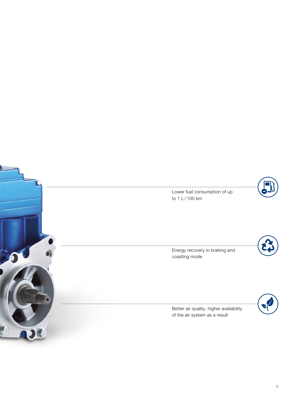

Lower fuel consumption of up to 1 L/100 km

Energy recovery in braking and coasting mode



Better air quality, higher availability of the air system as a result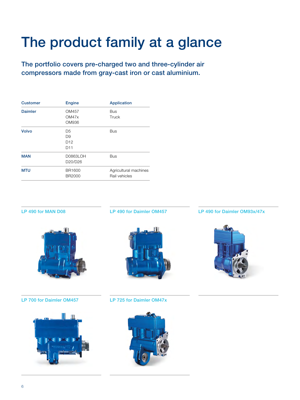## The product family at a glance

The portfolio covers pre-charged two and three-cylinder air compressors made from gray-cast iron or cast aluminium.

| <b>Customer</b> | Engine                                                                 | <b>Application</b>                     |
|-----------------|------------------------------------------------------------------------|----------------------------------------|
| <b>Daimler</b>  | OM457<br>OM47x<br>OM936                                                | <b>Bus</b><br>Truck                    |
| Volvo           | D <sub>5</sub><br>D <sub>9</sub><br>D <sub>12</sub><br>D <sub>11</sub> | <b>Bus</b>                             |
| <b>MAN</b>      | D0863LOH<br>D20/D26                                                    | <b>Bus</b>                             |
| <b>MTU</b>      | <b>BR1600</b><br><b>BR2000</b>                                         | Agricultural machines<br>Rail vehicles |

### LP 490 for MAN D08



LP 490 for Daimler OM457



LP 490 for Daimler OM93x/47x



LP 700 for Daimler OM457



LP 725 for Daimler OM47x

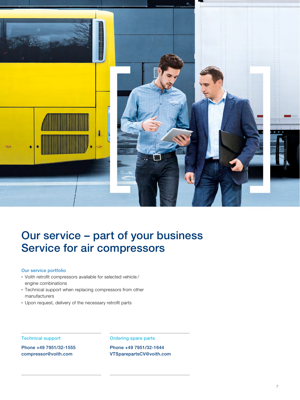

### Our service – part of your business Service for air compressors

#### Our service portfolio

- Voith retrofit compressors available for selected vehicle / engine combinations
- Technical support when replacing compressors from other manufacturers
- Upon request, delivery of the necessary retrofit parts

### Technical support

Phone +49 7951/32-1555 compressor@voith.com

Ordering spare parts

Phone +49 7951/32-1644 VTSparepartsCV@voith.com